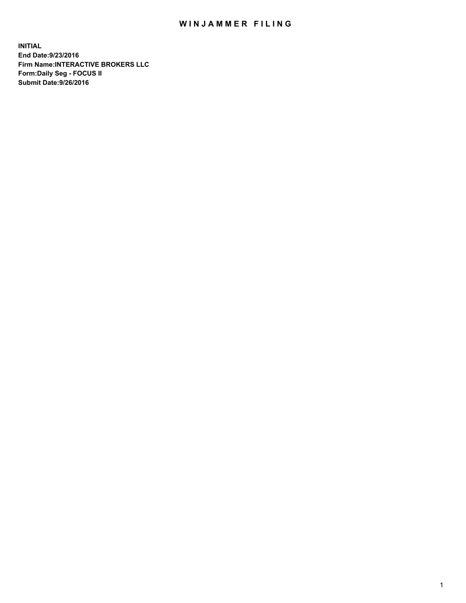## WIN JAMMER FILING

**INITIAL End Date:9/23/2016 Firm Name:INTERACTIVE BROKERS LLC Form:Daily Seg - FOCUS II Submit Date:9/26/2016**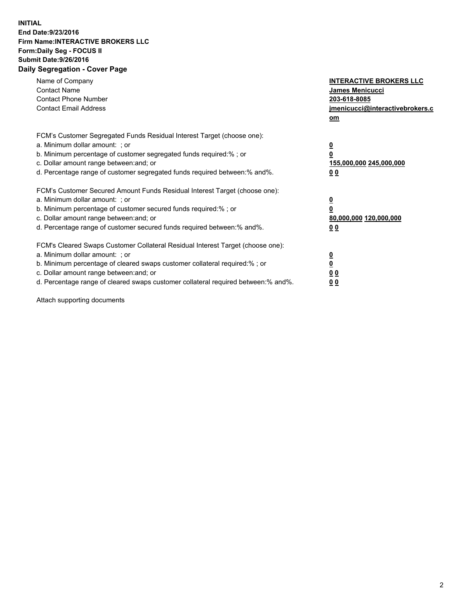## **INITIAL End Date:9/23/2016 Firm Name:INTERACTIVE BROKERS LLC Form:Daily Seg - FOCUS II Submit Date:9/26/2016 Daily Segregation - Cover Page**

| Name of Company<br><b>Contact Name</b><br><b>Contact Phone Number</b><br><b>Contact Email Address</b>                                                                                                                                                                                                                          | <b>INTERACTIVE BROKERS LLC</b><br>James Menicucci<br>203-618-8085<br>jmenicucci@interactivebrokers.c<br>om |
|--------------------------------------------------------------------------------------------------------------------------------------------------------------------------------------------------------------------------------------------------------------------------------------------------------------------------------|------------------------------------------------------------------------------------------------------------|
| FCM's Customer Segregated Funds Residual Interest Target (choose one):<br>a. Minimum dollar amount: ; or<br>b. Minimum percentage of customer segregated funds required:%; or<br>c. Dollar amount range between: and; or<br>d. Percentage range of customer segregated funds required between:% and%.                          | $\overline{\mathbf{0}}$<br>0<br>155,000,000 245,000,000<br>0 <sub>0</sub>                                  |
| FCM's Customer Secured Amount Funds Residual Interest Target (choose one):<br>a. Minimum dollar amount: ; or<br>b. Minimum percentage of customer secured funds required:%; or<br>c. Dollar amount range between: and; or<br>d. Percentage range of customer secured funds required between:% and%.                            | $\overline{\mathbf{0}}$<br>$\overline{\mathbf{0}}$<br>80,000,000 120,000,000<br>00                         |
| FCM's Cleared Swaps Customer Collateral Residual Interest Target (choose one):<br>a. Minimum dollar amount: ; or<br>b. Minimum percentage of cleared swaps customer collateral required:% ; or<br>c. Dollar amount range between: and; or<br>d. Percentage range of cleared swaps customer collateral required between:% and%. | $\overline{\mathbf{0}}$<br>$\overline{\mathbf{0}}$<br>0 <sub>0</sub><br><u>00</u>                          |

Attach supporting documents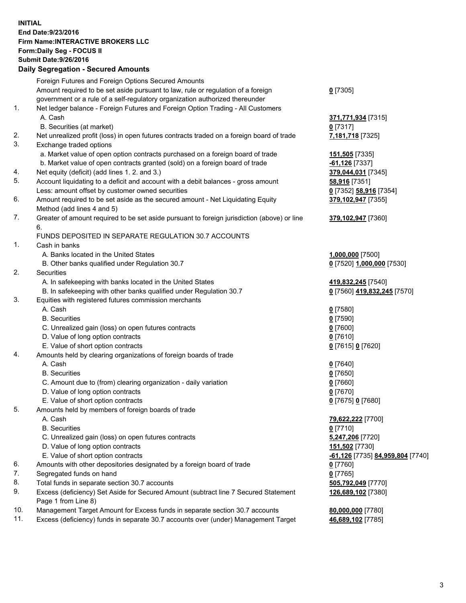## **INITIAL End Date:9/23/2016 Firm Name:INTERACTIVE BROKERS LLC Form:Daily Seg - FOCUS II Submit Date:9/26/2016 Daily Segregation - Secured Amounts**

|     | Daily Jegregation - Jeculed Aniounts                                                                       |                                  |
|-----|------------------------------------------------------------------------------------------------------------|----------------------------------|
|     | Foreign Futures and Foreign Options Secured Amounts                                                        |                                  |
|     | Amount required to be set aside pursuant to law, rule or regulation of a foreign                           | $0$ [7305]                       |
|     | government or a rule of a self-regulatory organization authorized thereunder                               |                                  |
| 1.  | Net ledger balance - Foreign Futures and Foreign Option Trading - All Customers                            |                                  |
|     | A. Cash                                                                                                    | 371,771,934 [7315]               |
|     | B. Securities (at market)                                                                                  | $0$ [7317]                       |
| 2.  | Net unrealized profit (loss) in open futures contracts traded on a foreign board of trade                  | 7,181,718 [7325]                 |
| 3.  | Exchange traded options                                                                                    |                                  |
|     | a. Market value of open option contracts purchased on a foreign board of trade                             | 151,505 [7335]                   |
|     | b. Market value of open contracts granted (sold) on a foreign board of trade                               | $-61,126$ [7337]                 |
| 4.  | Net equity (deficit) (add lines 1.2. and 3.)                                                               | 379,044,031 [7345]               |
| 5.  | Account liquidating to a deficit and account with a debit balances - gross amount                          | 58,916 [7351]                    |
|     | Less: amount offset by customer owned securities                                                           | 0 [7352] 58,916 [7354]           |
| 6.  | Amount required to be set aside as the secured amount - Net Liquidating Equity                             | 379,102,947 [7355]               |
|     | Method (add lines 4 and 5)                                                                                 |                                  |
| 7.  | Greater of amount required to be set aside pursuant to foreign jurisdiction (above) or line                | 379,102,947 [7360]               |
|     | 6.                                                                                                         |                                  |
|     | FUNDS DEPOSITED IN SEPARATE REGULATION 30.7 ACCOUNTS                                                       |                                  |
| 1.  | Cash in banks                                                                                              |                                  |
|     | A. Banks located in the United States                                                                      | 1,000,000 [7500]                 |
|     | B. Other banks qualified under Regulation 30.7                                                             | 0 [7520] 1,000,000 [7530]        |
| 2.  | Securities                                                                                                 |                                  |
|     | A. In safekeeping with banks located in the United States                                                  | 419,832,245 [7540]               |
|     | B. In safekeeping with other banks qualified under Regulation 30.7                                         | 0 [7560] 419,832,245 [7570]      |
| 3.  | Equities with registered futures commission merchants                                                      |                                  |
|     | A. Cash                                                                                                    | $0$ [7580]                       |
|     | <b>B.</b> Securities                                                                                       | $0$ [7590]                       |
|     | C. Unrealized gain (loss) on open futures contracts                                                        | $0$ [7600]                       |
|     | D. Value of long option contracts                                                                          | $0$ [7610]                       |
|     | E. Value of short option contracts                                                                         | 0 [7615] 0 [7620]                |
| 4.  | Amounts held by clearing organizations of foreign boards of trade                                          |                                  |
|     | A. Cash                                                                                                    | $0$ [7640]                       |
|     | <b>B.</b> Securities                                                                                       | $0$ [7650]                       |
|     | C. Amount due to (from) clearing organization - daily variation                                            | $0$ [7660]                       |
|     | D. Value of long option contracts                                                                          | $0$ [7670]                       |
|     | E. Value of short option contracts                                                                         | 0 [7675] 0 [7680]                |
| 5.  | Amounts held by members of foreign boards of trade                                                         |                                  |
|     | A. Cash                                                                                                    | 79,622,222 [7700]                |
|     | <b>B.</b> Securities                                                                                       | $0$ [7710]                       |
|     | C. Unrealized gain (loss) on open futures contracts                                                        | 5,247,206 [7720]                 |
|     | D. Value of long option contracts                                                                          | 151,502 [7730]                   |
|     | E. Value of short option contracts                                                                         | -61,126 [7735] 84,959,804 [7740] |
| 6.  | Amounts with other depositories designated by a foreign board of trade                                     | 0 [7760]                         |
| 7.  | Segregated funds on hand                                                                                   | $0$ [7765]                       |
| 8.  | Total funds in separate section 30.7 accounts                                                              | 505,792,049 [7770]               |
| 9.  | Excess (deficiency) Set Aside for Secured Amount (subtract line 7 Secured Statement<br>Page 1 from Line 8) | 126,689,102 [7380]               |
| 10. | Management Target Amount for Excess funds in separate section 30.7 accounts                                | 80,000,000 [7780]                |
| 11. | Excess (deficiency) funds in separate 30.7 accounts over (under) Management Target                         | 46,689,102 [7785]                |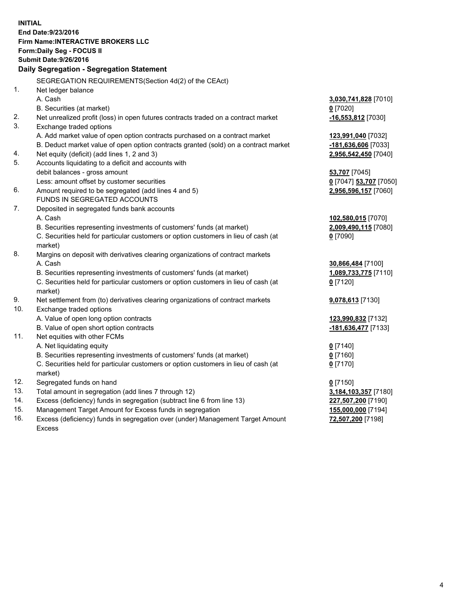**INITIAL End Date:9/23/2016 Firm Name:INTERACTIVE BROKERS LLC Form:Daily Seg - FOCUS II Submit Date:9/26/2016 Daily Segregation - Segregation Statement** SEGREGATION REQUIREMENTS(Section 4d(2) of the CEAct) 1. Net ledger balance A. Cash **3,030,741,828** [7010] B. Securities (at market) **0** [7020] 2. Net unrealized profit (loss) in open futures contracts traded on a contract market **-16,553,812** [7030] 3. Exchange traded options A. Add market value of open option contracts purchased on a contract market **123,991,040** [7032] B. Deduct market value of open option contracts granted (sold) on a contract market **-181,636,606** [7033] 4. Net equity (deficit) (add lines 1, 2 and 3) **2,956,542,450** [7040] 5. Accounts liquidating to a deficit and accounts with debit balances - gross amount **53,707** [7045] Less: amount offset by customer securities **0** [7047] **53,707** [7050] 6. Amount required to be segregated (add lines 4 and 5) **2,956,596,157** [7060] FUNDS IN SEGREGATED ACCOUNTS 7. Deposited in segregated funds bank accounts A. Cash **102,580,015** [7070] B. Securities representing investments of customers' funds (at market) **2,009,490,115** [7080] C. Securities held for particular customers or option customers in lieu of cash (at market) **0** [7090] 8. Margins on deposit with derivatives clearing organizations of contract markets A. Cash **30,866,484** [7100] B. Securities representing investments of customers' funds (at market) **1,089,733,775** [7110] C. Securities held for particular customers or option customers in lieu of cash (at market) **0** [7120] 9. Net settlement from (to) derivatives clearing organizations of contract markets **9,078,613** [7130] 10. Exchange traded options A. Value of open long option contracts **123,990,832** [7132] B. Value of open short option contracts **-181,636,477** [7133] 11. Net equities with other FCMs A. Net liquidating equity **0** [7140] B. Securities representing investments of customers' funds (at market) **0** [7160] C. Securities held for particular customers or option customers in lieu of cash (at market) **0** [7170] 12. Segregated funds on hand **0** [7150] 13. Total amount in segregation (add lines 7 through 12) **3,184,103,357** [7180] 14. Excess (deficiency) funds in segregation (subtract line 6 from line 13) **227,507,200** [7190] 15. Management Target Amount for Excess funds in segregation **155,000,000** [7194] **72,507,200** [7198]

16. Excess (deficiency) funds in segregation over (under) Management Target Amount Excess